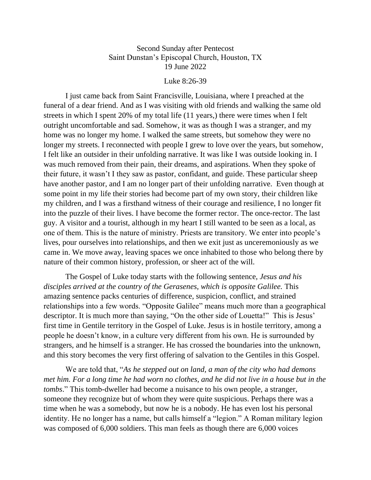## Second Sunday after Pentecost Saint Dunstan's Episcopal Church, Houston, TX 19 June 2022

## Luke 8:26-39

I just came back from Saint Francisville, Louisiana, where I preached at the funeral of a dear friend. And as I was visiting with old friends and walking the same old streets in which I spent 20% of my total life (11 years,) there were times when I felt outright uncomfortable and sad. Somehow, it was as though I was a stranger, and my home was no longer my home. I walked the same streets, but somehow they were no longer my streets. I reconnected with people I grew to love over the years, but somehow, I felt like an outsider in their unfolding narrative. It was like I was outside looking in. I was much removed from their pain, their dreams, and aspirations. When they spoke of their future, it wasn't I they saw as pastor, confidant, and guide. These particular sheep have another pastor, and I am no longer part of their unfolding narrative. Even though at some point in my life their stories had become part of my own story, their children like my children, and I was a firsthand witness of their courage and resilience, I no longer fit into the puzzle of their lives. I have become the former rector. The once-rector. The last guy. A visitor and a tourist, although in my heart I still wanted to be seen as a local, as one of them. This is the nature of ministry. Priests are transitory. We enter into people's lives, pour ourselves into relationships, and then we exit just as unceremoniously as we came in. We move away, leaving spaces we once inhabited to those who belong there by nature of their common history, profession, or sheer act of the will.

The Gospel of Luke today starts with the following sentence, *Jesus and his disciples arrived at the country of the Gerasenes, which is opposite Galilee.* This amazing sentence packs centuries of difference, suspicion, conflict, and strained relationships into a few words. "Opposite Galilee" means much more than a geographical descriptor. It is much more than saying, "On the other side of Louetta!" This is Jesus' first time in Gentile territory in the Gospel of Luke. Jesus is in hostile territory, among a people he doesn't know, in a culture very different from his own. He is surrounded by strangers, and he himself is a stranger. He has crossed the boundaries into the unknown, and this story becomes the very first offering of salvation to the Gentiles in this Gospel.

We are told that, "*As he stepped out on land, a man of the city who had demons met him. For a long time he had worn no clothes, and he did not live in a house but in the tombs*." This tomb-dweller had become a nuisance to his own people, a stranger, someone they recognize but of whom they were quite suspicious. Perhaps there was a time when he was a somebody, but now he is a nobody. He has even lost his personal identity. He no longer has a name, but calls himself a "legion." A Roman military legion was composed of 6,000 soldiers. This man feels as though there are 6,000 voices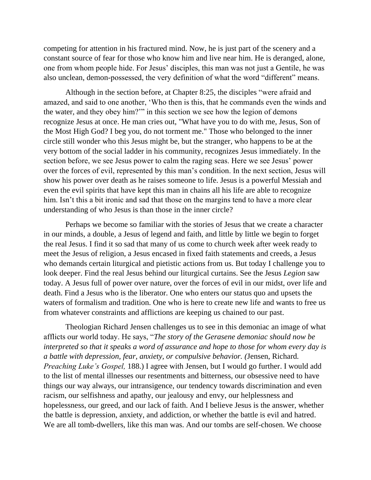competing for attention in his fractured mind. Now, he is just part of the scenery and a constant source of fear for those who know him and live near him. He is deranged, alone, one from whom people hide. For Jesus' disciples, this man was not just a Gentile, he was also unclean, demon-possessed, the very definition of what the word "different" means.

Although in the section before, at Chapter 8:25, the disciples "were afraid and amazed, and said to one another, 'Who then is this, that he commands even the winds and the water, and they obey him?'" in this section we see how the legion of demons recognize Jesus at once. He man cries out, "What have you to do with me, Jesus, Son of the Most High God? I beg you, do not torment me." Those who belonged to the inner circle still wonder who this Jesus might be, but the stranger, who happens to be at the very bottom of the social ladder in his community, recognizes Jesus immediately. In the section before, we see Jesus power to calm the raging seas. Here we see Jesus' power over the forces of evil, represented by this man's condition. In the next section, Jesus will show his power over death as he raises someone to life. Jesus is a powerful Messiah and even the evil spirits that have kept this man in chains all his life are able to recognize him. Isn't this a bit ironic and sad that those on the margins tend to have a more clear understanding of who Jesus is than those in the inner circle?

Perhaps we become so familiar with the stories of Jesus that we create a character in our minds, a double, a Jesus of legend and faith, and little by little we begin to forget the real Jesus. I find it so sad that many of us come to church week after week ready to meet the Jesus of religion, a Jesus encased in fixed faith statements and creeds, a Jesus who demands certain liturgical and pietistic actions from us. But today I challenge you to look deeper. Find the real Jesus behind our liturgical curtains. See the Jesus *Legion* saw today. A Jesus full of power over nature, over the forces of evil in our midst, over life and death. Find a Jesus who is the liberator. One who enters our status quo and upsets the waters of formalism and tradition. One who is here to create new life and wants to free us from whatever constraints and afflictions are keeping us chained to our past.

Theologian Richard Jensen challenges us to see in this demoniac an image of what afflicts our world today. He says, "*The story of the Gerasene demoniac should now be interpreted so that it speaks a word of assurance and hope to those for whom every day is a battle with depression, fear, anxiety, or compulsive behavior. (*Jensen, Richard*. Preaching Luke's Gospel,* 188.) I agree with Jensen, but I would go further. I would add to the list of mental illnesses our resentments and bitterness, our obsessive need to have things our way always, our intransigence, our tendency towards discrimination and even racism, our selfishness and apathy, our jealousy and envy, our helplessness and hopelessness, our greed, and our lack of faith. And I believe Jesus is the answer, whether the battle is depression, anxiety, and addiction, or whether the battle is evil and hatred. We are all tomb-dwellers, like this man was. And our tombs are self-chosen. We choose